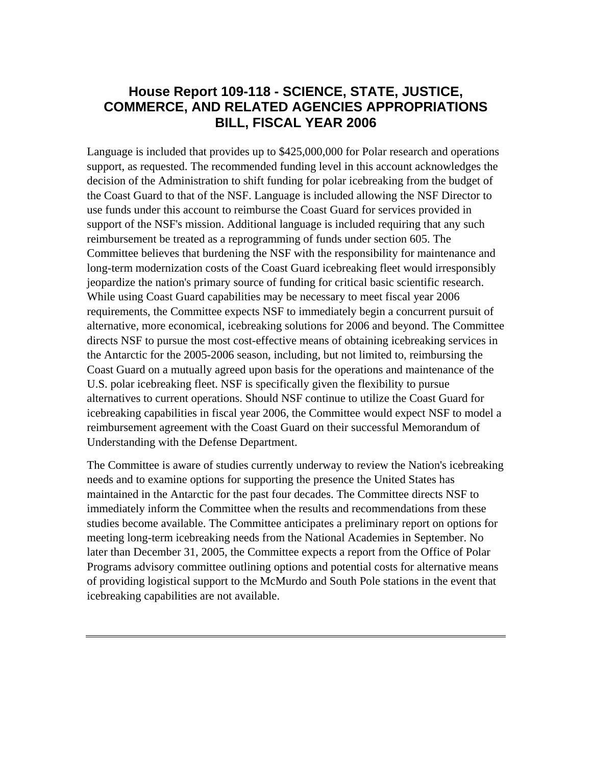# **House Report 109-118 - SCIENCE, STATE, JUSTICE, COMMERCE, AND RELATED AGENCIES APPROPRIATIONS BILL, FISCAL YEAR 2006**

Language is included that provides up to \$425,000,000 for Polar research and operations support, as requested. The recommended funding level in this account acknowledges the decision of the Administration to shift funding for polar icebreaking from the budget of the Coast Guard to that of the NSF. Language is included allowing the NSF Director to use funds under this account to reimburse the Coast Guard for services provided in support of the NSF's mission. Additional language is included requiring that any such reimbursement be treated as a reprogramming of funds under section 605. The Committee believes that burdening the NSF with the responsibility for maintenance and long-term modernization costs of the Coast Guard icebreaking fleet would irresponsibly jeopardize the nation's primary source of funding for critical basic scientific research. While using Coast Guard capabilities may be necessary to meet fiscal year 2006 requirements, the Committee expects NSF to immediately begin a concurrent pursuit of alternative, more economical, icebreaking solutions for 2006 and beyond. The Committee directs NSF to pursue the most cost-effective means of obtaining icebreaking services in the Antarctic for the 2005-2006 season, including, but not limited to, reimbursing the Coast Guard on a mutually agreed upon basis for the operations and maintenance of the U.S. polar icebreaking fleet. NSF is specifically given the flexibility to pursue alternatives to current operations. Should NSF continue to utilize the Coast Guard for icebreaking capabilities in fiscal year 2006, the Committee would expect NSF to model a reimbursement agreement with the Coast Guard on their successful Memorandum of Understanding with the Defense Department.

The Committee is aware of studies currently underway to review the Nation's icebreaking needs and to examine options for supporting the presence the United States has maintained in the Antarctic for the past four decades. The Committee directs NSF to immediately inform the Committee when the results and recommendations from these studies become available. The Committee anticipates a preliminary report on options for meeting long-term icebreaking needs from the National Academies in September. No later than December 31, 2005, the Committee expects a report from the Office of Polar Programs advisory committee outlining options and potential costs for alternative means of providing logistical support to the McMurdo and South Pole stations in the event that icebreaking capabilities are not available.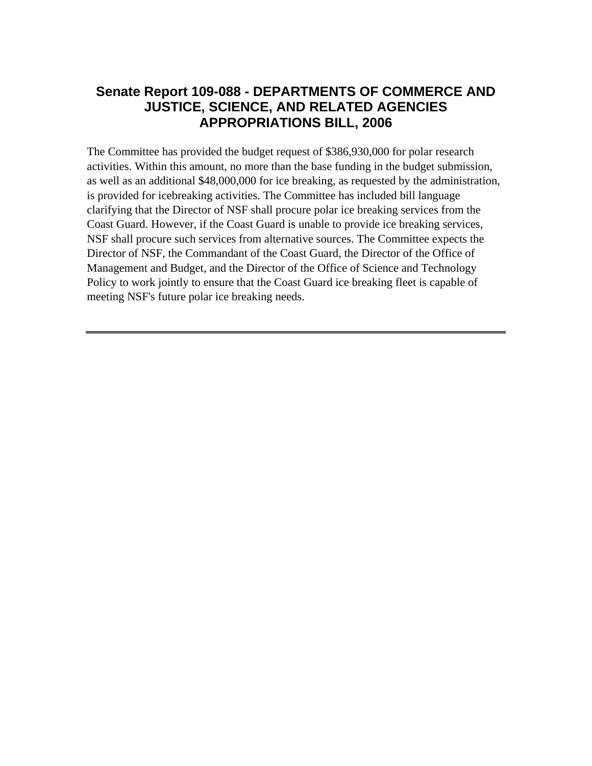## **Senate Report 109-088 - DEPARTMENTS OF COMMERCE AND JUSTICE, SCIENCE, AND RELATED AGENCIES APPROPRIATIONS BILL, 2006**

The Committee has provided the budget request of \$386,930,000 for polar research activities. Within this amount, no more than the base funding in the budget submission, as well as an additional \$48,000,000 for ice breaking, as requested by the administration, is provided for icebreaking activities. The Committee has included bill language clarifying that the Director of NSF shall procure polar ice breaking services from the Coast Guard. However, if the Coast Guard is unable to provide ice breaking services, NSF shall procure such services from alternative sources. The Committee expects the Director of NSF, the Commandant of the Coast Guard, the Director of the Office of Management and Budget, and the Director of the Office of Science and Technology Policy to work jointly to ensure that the Coast Guard ice breaking fleet is capable of meeting NSF's future polar ice breaking needs.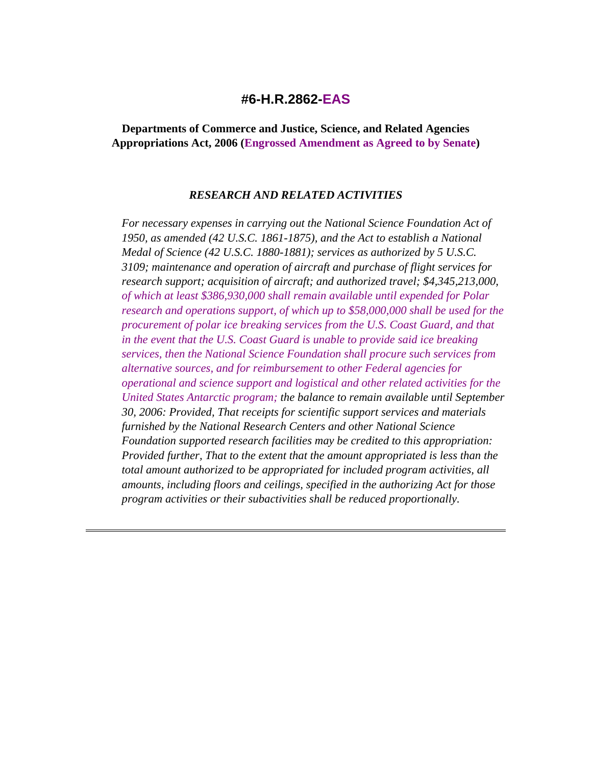### **#6-H.R.2862-EAS**

**Departments of Commerce and Justice, Science, and Related Agencies Appropriations Act, 2006 (Engrossed Amendment as Agreed to by Senate)** 

#### *RESEARCH AND RELATED ACTIVITIES*

*For necessary expenses in carrying out the National Science Foundation Act of 1950, as amended (42 U.S.C. 1861-1875), and the Act to establish a National Medal of Science (42 U.S.C. 1880-1881); services as authorized by 5 U.S.C. 3109; maintenance and operation of aircraft and purchase of flight services for research support; acquisition of aircraft; and authorized travel; \$4,345,213,000, of which at least \$386,930,000 shall remain available until expended for Polar research and operations support, of which up to \$58,000,000 shall be used for the procurement of polar ice breaking services from the U.S. Coast Guard, and that in the event that the U.S. Coast Guard is unable to provide said ice breaking services, then the National Science Foundation shall procure such services from alternative sources, and for reimbursement to other Federal agencies for operational and science support and logistical and other related activities for the United States Antarctic program; the balance to remain available until September 30, 2006: Provided, That receipts for scientific support services and materials furnished by the National Research Centers and other National Science Foundation supported research facilities may be credited to this appropriation: Provided further, That to the extent that the amount appropriated is less than the total amount authorized to be appropriated for included program activities, all amounts, including floors and ceilings, specified in the authorizing Act for those program activities or their subactivities shall be reduced proportionally.*